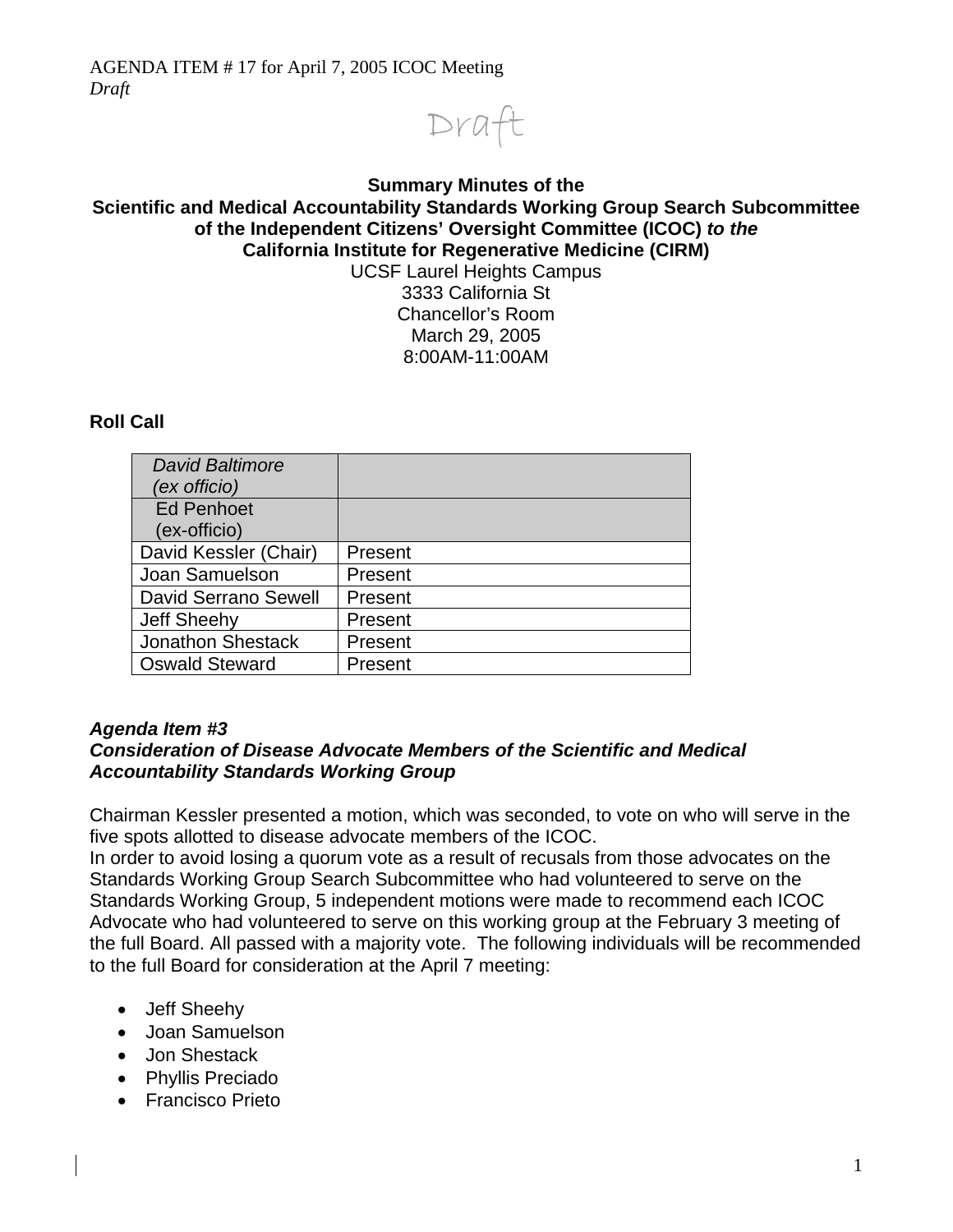

#### **Summary Minutes of the Scientific and Medical Accountability Standards Working Group Search Subcommittee of the Independent Citizens' Oversight Committee (ICOC)** *to the* **California Institute for Regenerative Medicine (CIRM)**  UCSF Laurel Heights Campus 3333 California St Chancellor's Room March 29, 2005 8:00AM-11:00AM

# **Roll Call**

| <b>David Baltimore</b>   |         |
|--------------------------|---------|
| (ex officio)             |         |
| <b>Ed Penhoet</b>        |         |
| (ex-officio)             |         |
| David Kessler (Chair)    | Present |
| Joan Samuelson           | Present |
| David Serrano Sewell     | Present |
| <b>Jeff Sheehy</b>       | Present |
| <b>Jonathon Shestack</b> | Present |
| <b>Oswald Steward</b>    | Present |

### *Agenda Item #3*

### *Consideration of Disease Advocate Members of the Scientific and Medical Accountability Standards Working Group*

 Chairman Kessler presented a motion, which was seconded, to vote on who will serve in the five spots allotted to disease advocate members of the ICOC.

In order to avoid losing a quorum vote as a result of recusals from those advocates on the Standards Working Group Search Subcommittee who had volunteered to serve on the Standards Working Group, 5 independent motions were made to recommend each ICOC Advocate who had volunteered to serve on this working group at the February 3 meeting of the full Board. All passed with a majority vote. The following individuals will be recommended to the full Board for consideration at the April 7 meeting:

- Jeff Sheehy
- Joan Samuelson
- Jon Shestack
- Phyllis Preciado
- Francisco Prieto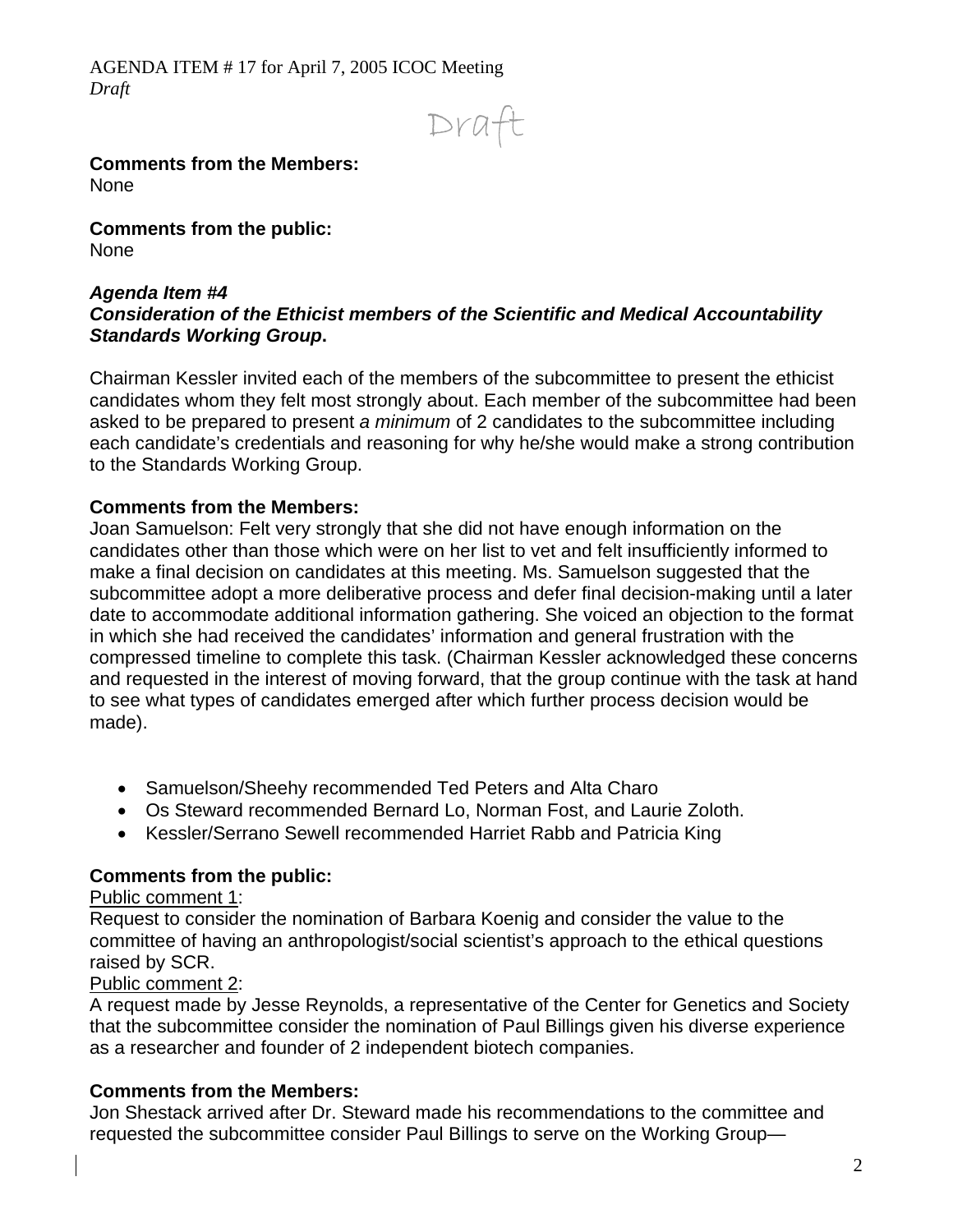AGENDA ITEM # 17 for April 7, 2005 ICOC Meeting *Draft* 

Draft

#### **Comments from the Members:**  None

**Comments from the public:**  None

#### *Agenda Item #4 Consideration of the Ethicist members of the Scientific and Medical Accountability Standards Working Group***.**

Chairman Kessler invited each of the members of the subcommittee to present the ethicist candidates whom they felt most strongly about. Each member of the subcommittee had been asked to be prepared to present *a minimum* of 2 candidates to the subcommittee including each candidate's credentials and reasoning for why he/she would make a strong contribution to the Standards Working Group.

### **Comments from the Members:**

Joan Samuelson: Felt very strongly that she did not have enough information on the candidates other than those which were on her list to vet and felt insufficiently informed to make a final decision on candidates at this meeting. Ms. Samuelson suggested that the subcommittee adopt a more deliberative process and defer final decision-making until a later date to accommodate additional information gathering. She voiced an objection to the format in which she had received the candidates' information and general frustration with the compressed timeline to complete this task. (Chairman Kessler acknowledged these concerns and requested in the interest of moving forward, that the group continue with the task at hand to see what types of candidates emerged after which further process decision would be made).

- Samuelson/Sheehy recommended Ted Peters and Alta Charo
- Os Steward recommended Bernard Lo, Norman Fost, and Laurie Zoloth.
- Kessler/Serrano Sewell recommended Harriet Rabb and Patricia King

# **Comments from the public:**

### Public comment 1:

Request to consider the nomination of Barbara Koenig and consider the value to the committee of having an anthropologist/social scientist's approach to the ethical questions raised by SCR.

### Public comment 2:

A request made by Jesse Reynolds, a representative of the Center for Genetics and Society that the subcommittee consider the nomination of Paul Billings given his diverse experience as a researcher and founder of 2 independent biotech companies.

# **Comments from the Members:**

Jon Shestack arrived after Dr. Steward made his recommendations to the committee and requested the subcommittee consider Paul Billings to serve on the Working Group—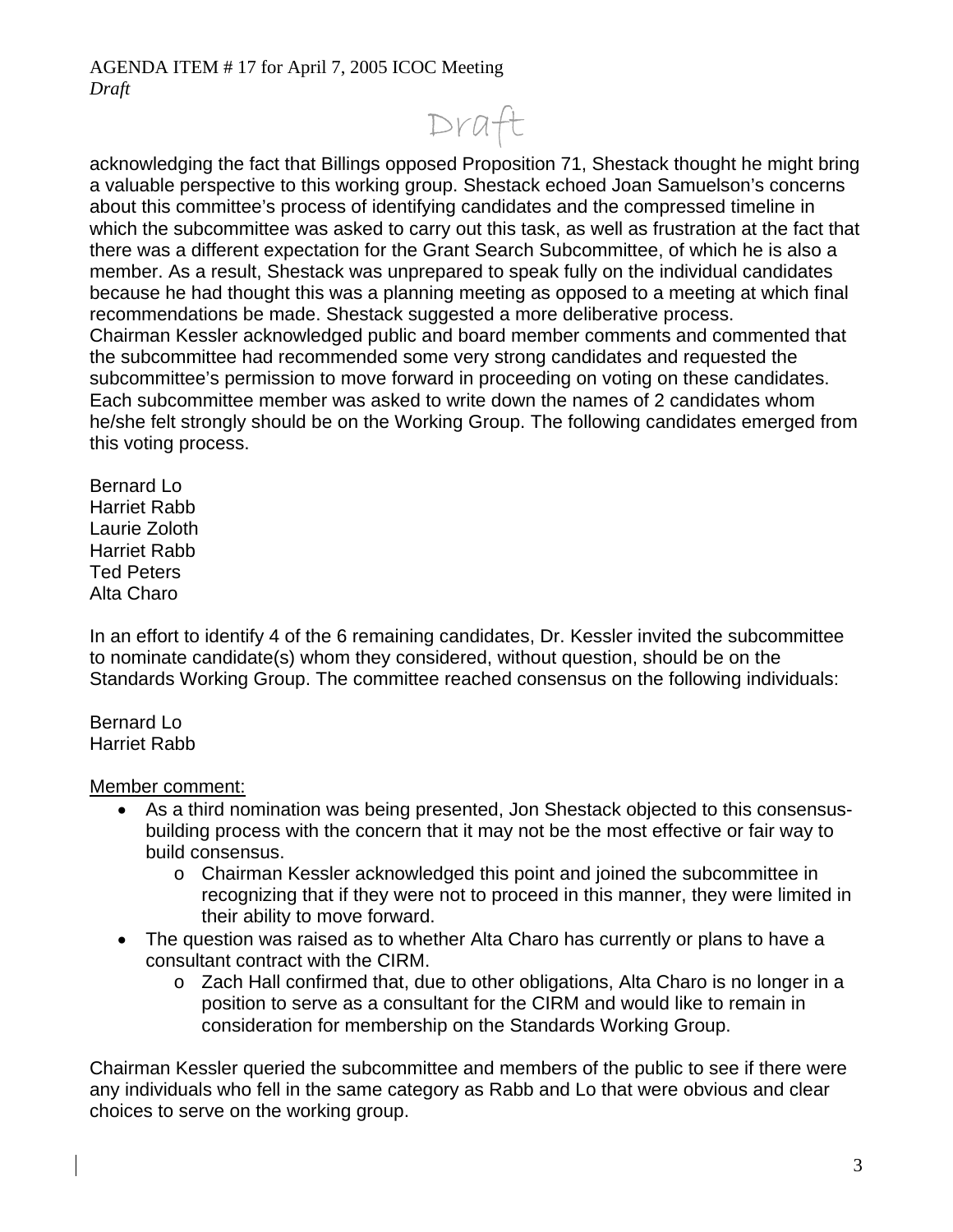Draft

acknowledging the fact that Billings opposed Proposition 71, Shestack thought he might bring a valuable perspective to this working group. Shestack echoed Joan Samuelson's concerns about this committee's process of identifying candidates and the compressed timeline in which the subcommittee was asked to carry out this task, as well as frustration at the fact that there was a different expectation for the Grant Search Subcommittee, of which he is also a member. As a result, Shestack was unprepared to speak fully on the individual candidates because he had thought this was a planning meeting as opposed to a meeting at which final recommendations be made. Shestack suggested a more deliberative process. Chairman Kessler acknowledged public and board member comments and commented that the subcommittee had recommended some very strong candidates and requested the subcommittee's permission to move forward in proceeding on voting on these candidates. Each subcommittee member was asked to write down the names of 2 candidates whom he/she felt strongly should be on the Working Group. The following candidates emerged from this voting process.

Bernard Lo Harriet Rabb Laurie Zoloth Harriet Rabb Ted Peters Alta Charo

In an effort to identify 4 of the 6 remaining candidates, Dr. Kessler invited the subcommittee to nominate candidate(s) whom they considered, without question, should be on the Standards Working Group. The committee reached consensus on the following individuals:

Bernard Lo Harriet Rabb

Member comment:

- As a third nomination was being presented, Jon Shestack objected to this consensusbuilding process with the concern that it may not be the most effective or fair way to build consensus.
	- o Chairman Kessler acknowledged this point and joined the subcommittee in recognizing that if they were not to proceed in this manner, they were limited in their ability to move forward.
- The question was raised as to whether Alta Charo has currently or plans to have a consultant contract with the CIRM.
	- o Zach Hall confirmed that, due to other obligations, Alta Charo is no longer in a position to serve as a consultant for the CIRM and would like to remain in consideration for membership on the Standards Working Group.

Chairman Kessler queried the subcommittee and members of the public to see if there were any individuals who fell in the same category as Rabb and Lo that were obvious and clear choices to serve on the working group.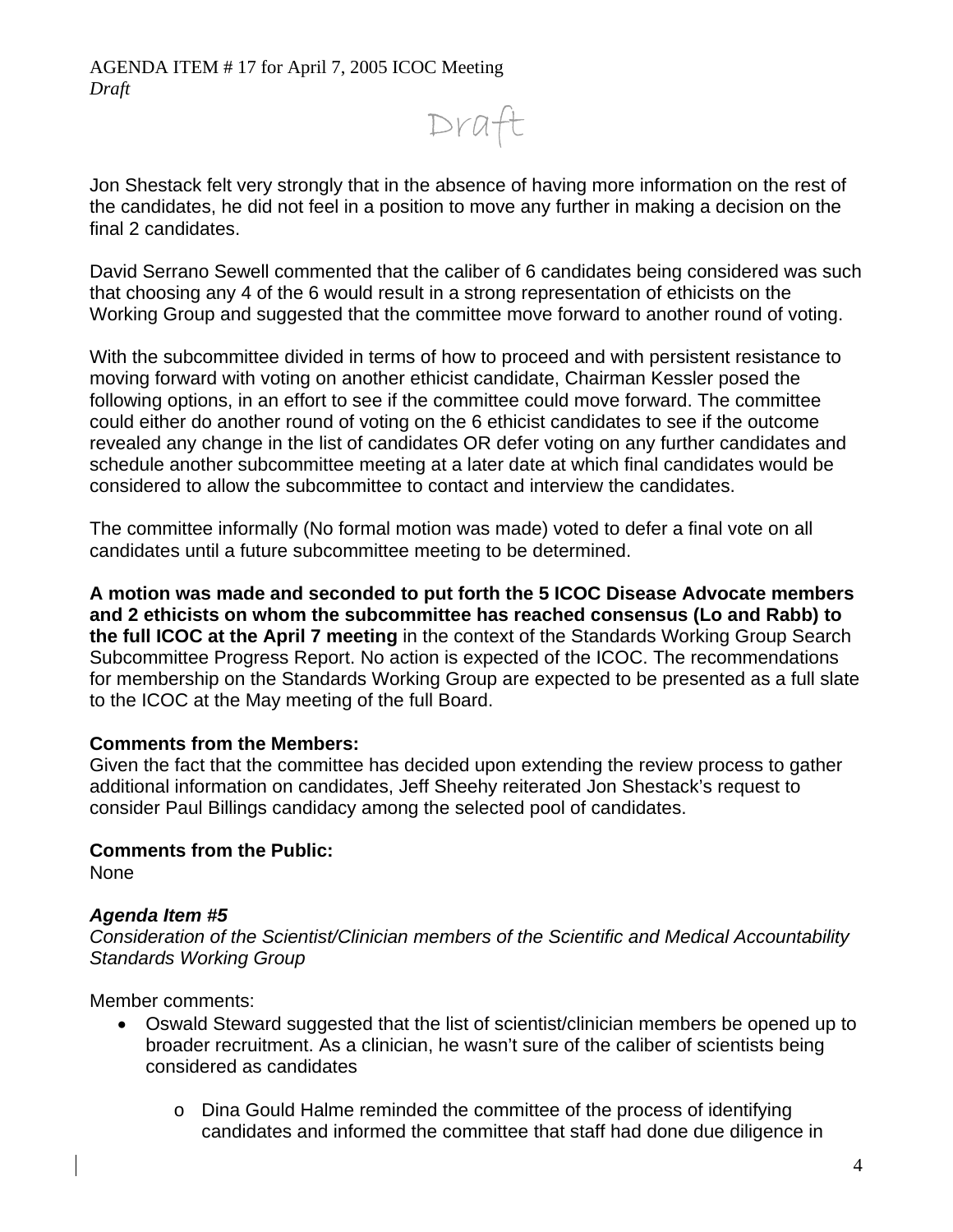Draft

Jon Shestack felt very strongly that in the absence of having more information on the rest of the candidates, he did not feel in a position to move any further in making a decision on the final 2 candidates.

David Serrano Sewell commented that the caliber of 6 candidates being considered was such that choosing any 4 of the 6 would result in a strong representation of ethicists on the Working Group and suggested that the committee move forward to another round of voting.

With the subcommittee divided in terms of how to proceed and with persistent resistance to moving forward with voting on another ethicist candidate, Chairman Kessler posed the following options, in an effort to see if the committee could move forward. The committee could either do another round of voting on the 6 ethicist candidates to see if the outcome revealed any change in the list of candidates OR defer voting on any further candidates and schedule another subcommittee meeting at a later date at which final candidates would be considered to allow the subcommittee to contact and interview the candidates.

The committee informally (No formal motion was made) voted to defer a final vote on all candidates until a future subcommittee meeting to be determined.

**A motion was made and seconded to put forth the 5 ICOC Disease Advocate members and 2 ethicists on whom the subcommittee has reached consensus (Lo and Rabb) to the full ICOC at the April 7 meeting** in the context of the Standards Working Group Search Subcommittee Progress Report. No action is expected of the ICOC. The recommendations for membership on the Standards Working Group are expected to be presented as a full slate to the ICOC at the May meeting of the full Board.

### **Comments from the Members:**

Given the fact that the committee has decided upon extending the review process to gather additional information on candidates, Jeff Sheehy reiterated Jon Shestack's request to consider Paul Billings candidacy among the selected pool of candidates.

### **Comments from the Public:**

None

# *Agenda Item #5*

*Consideration of the Scientist/Clinician members of the Scientific and Medical Accountability Standards Working Group* 

Member comments:

- Oswald Steward suggested that the list of scientist/clinician members be opened up to broader recruitment. As a clinician, he wasn't sure of the caliber of scientists being considered as candidates
	- o Dina Gould Halme reminded the committee of the process of identifying candidates and informed the committee that staff had done due diligence in